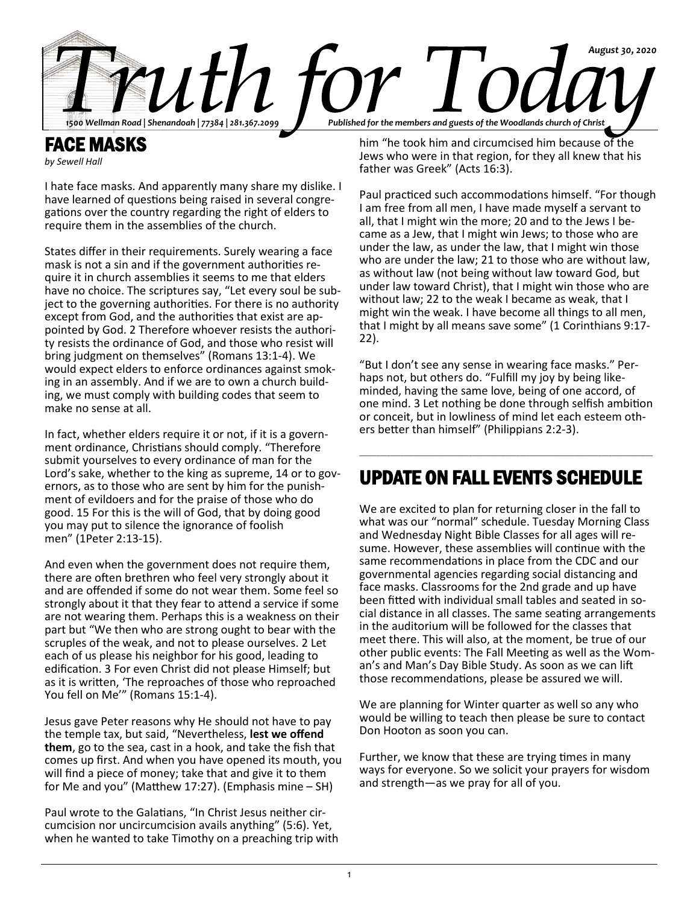

FACE MASKS *by Sewell Hall*

I hate face masks. And apparently many share my dislike. I have learned of questions being raised in several congregations over the country regarding the right of elders to require them in the assemblies of the church.

States differ in their requirements. Surely wearing a face mask is not a sin and if the government authorities require it in church assemblies it seems to me that elders have no choice. The scriptures say, "Let every soul be subject to the governing authorities. For there is no authority except from God, and the authorities that exist are appointed by God. 2 Therefore whoever resists the authority resists the ordinance of God, and those who resist will bring judgment on themselves" (Romans 13:1-4). We would expect elders to enforce ordinances against smoking in an assembly. And if we are to own a church building, we must comply with building codes that seem to make no sense at all.

In fact, whether elders require it or not, if it is a government ordinance, Christians should comply. "Therefore submit yourselves to every ordinance of man for the Lord's sake, whether to the king as supreme, 14 or to governors, as to those who are sent by him for the punishment of evildoers and for the praise of those who do good. 15 For this is the will of God, that by doing good you may put to silence the ignorance of foolish men" (1Peter 2:13-15).

And even when the government does not require them, there are often brethren who feel very strongly about it and are offended if some do not wear them. Some feel so strongly about it that they fear to attend a service if some are not wearing them. Perhaps this is a weakness on their part but "We then who are strong ought to bear with the scruples of the weak, and not to please ourselves. 2 Let each of us please his neighbor for his good, leading to edification. 3 For even Christ did not please Himself; but as it is written, 'The reproaches of those who reproached You fell on Me'" (Romans 15:1-4).

Jesus gave Peter reasons why He should not have to pay the temple tax, but said, "Nevertheless, **lest we offend them**, go to the sea, cast in a hook, and take the fish that comes up first. And when you have opened its mouth, you will find a piece of money; take that and give it to them for Me and you" (Matthew 17:27). (Emphasis mine – SH)

Paul wrote to the Galatians, "In Christ Jesus neither circumcision nor uncircumcision avails anything" (5:6). Yet, when he wanted to take Timothy on a preaching trip with him "he took him and circumcised him because of the Jews who were in that region, for they all knew that his father was Greek" (Acts 16:3).

Paul practiced such accommodations himself. "For though I am free from all men, I have made myself a servant to all, that I might win the more; 20 and to the Jews I became as a Jew, that I might win Jews; to those who are under the law, as under the law, that I might win those who are under the law; 21 to those who are without law, as without law (not being without law toward God, but under law toward Christ), that I might win those who are without law; 22 to the weak I became as weak, that I might win the weak. I have become all things to all men, that I might by all means save some" (1 Corinthians 9:17- 22).

"But I don't see any sense in wearing face masks." Perhaps not, but others do. "Fulfill my joy by being likeminded, having the same love, being of one accord, of one mind. 3 Let nothing be done through selfish ambition or conceit, but in lowliness of mind let each esteem others better than himself" (Philippians 2:2-3).

# UPDATE ON FALL EVENTS SCHEDULE

\_\_\_\_\_\_\_\_\_\_\_\_\_\_\_\_\_\_\_\_\_\_\_\_\_\_\_\_\_\_\_\_\_\_\_\_\_\_\_\_\_\_\_\_\_\_\_\_\_\_\_\_\_\_\_\_\_\_\_\_\_\_\_\_\_\_\_\_\_\_\_\_\_\_\_\_\_\_\_\_\_\_\_\_\_\_

We are excited to plan for returning closer in the fall to what was our "normal" schedule. Tuesday Morning Class and Wednesday Night Bible Classes for all ages will resume. However, these assemblies will continue with the same recommendations in place from the CDC and our governmental agencies regarding social distancing and face masks. Classrooms for the 2nd grade and up have been fitted with individual small tables and seated in social distance in all classes. The same seating arrangements in the auditorium will be followed for the classes that meet there. This will also, at the moment, be true of our other public events: The Fall Meeting as well as the Woman's and Man's Day Bible Study. As soon as we can lift those recommendations, please be assured we will.

We are planning for Winter quarter as well so any who would be willing to teach then please be sure to contact Don Hooton as soon you can.

Further, we know that these are trying times in many ways for everyone. So we solicit your prayers for wisdom and strength—as we pray for all of you.